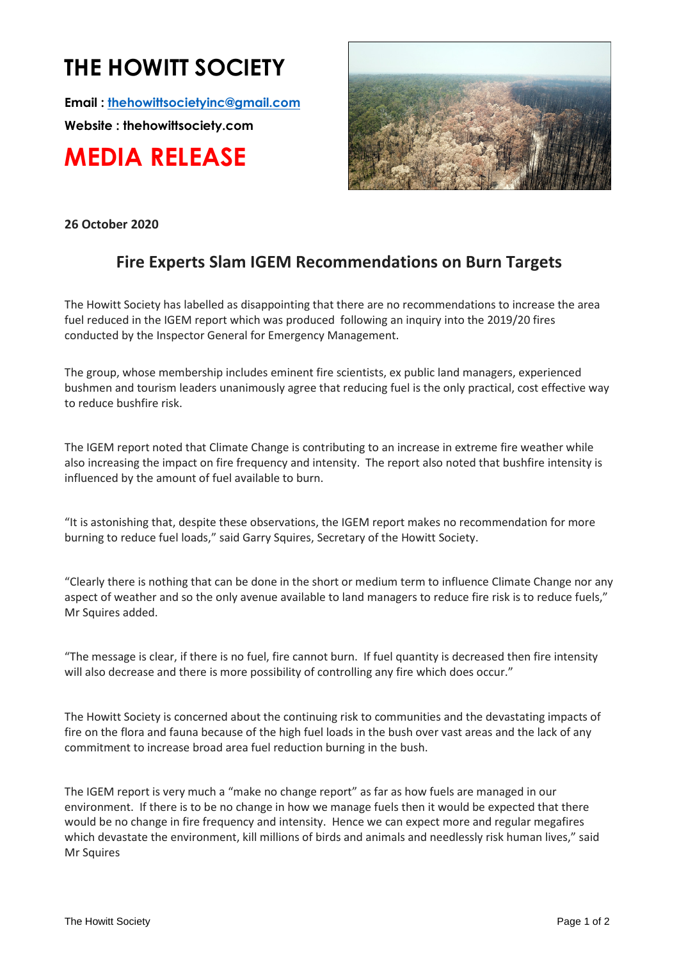## **THE HOWITT SOCIETY**

**Email : thehowittsocietyinc@gmail.com**

**Website : thehowittsociety.com**

**MEDIA RELEASE**



**26 October 2020**

## **Fire Experts Slam IGEM Recommendations on Burn Targets**

The Howitt Society has labelled as disappointing that there are no recommendations to increase the area fuel reduced in the IGEM report which was produced following an inquiry into the 2019/20 fires conducted by the Inspector General for Emergency Management.

The group, whose membership includes eminent fire scientists, ex public land managers, experienced bushmen and tourism leaders unanimously agree that reducing fuel is the only practical, cost effective way to reduce bushfire risk.

The IGEM report noted that Climate Change is contributing to an increase in extreme fire weather while also increasing the impact on fire frequency and intensity. The report also noted that bushfire intensity is influenced by the amount of fuel available to burn.

"It is astonishing that, despite these observations, the IGEM report makes no recommendation for more burning to reduce fuel loads," said Garry Squires, Secretary of the Howitt Society.

"Clearly there is nothing that can be done in the short or medium term to influence Climate Change nor any aspect of weather and so the only avenue available to land managers to reduce fire risk is to reduce fuels," Mr Squires added.

"The message is clear, if there is no fuel, fire cannot burn. If fuel quantity is decreased then fire intensity will also decrease and there is more possibility of controlling any fire which does occur."

The Howitt Society is concerned about the continuing risk to communities and the devastating impacts of fire on the flora and fauna because of the high fuel loads in the bush over vast areas and the lack of any commitment to increase broad area fuel reduction burning in the bush.

The IGEM report is very much a "make no change report" as far as how fuels are managed in our environment. If there is to be no change in how we manage fuels then it would be expected that there would be no change in fire frequency and intensity. Hence we can expect more and regular megafires which devastate the environment, kill millions of birds and animals and needlessly risk human lives," said Mr Squires